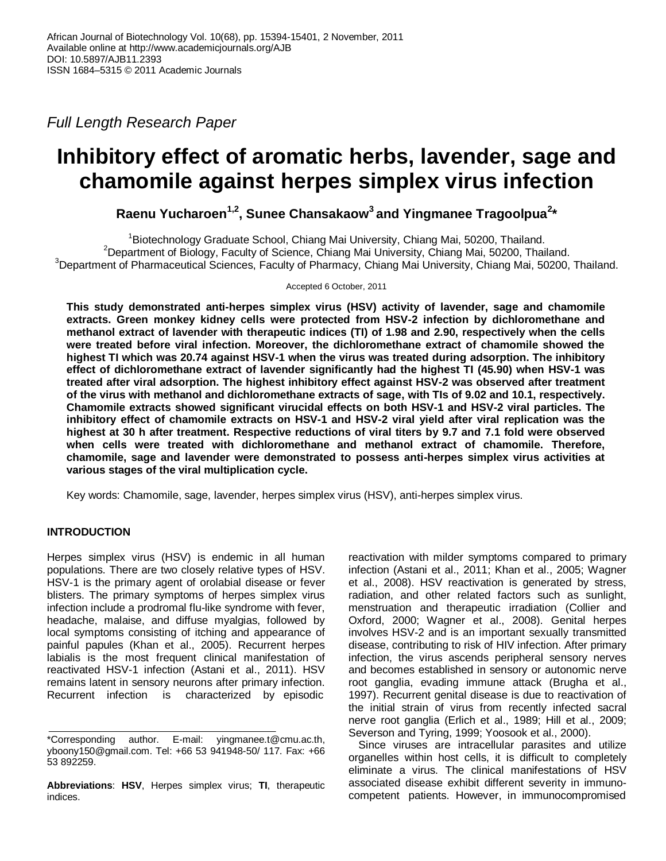*Full Length Research Paper*

# **Inhibitory effect of aromatic herbs, lavender, sage and chamomile against herpes simplex virus infection**

**Raenu Yucharoen1,2 , Sunee Chansakaow<sup>3</sup> and Yingmanee Tragoolpua<sup>2</sup> \***

<sup>1</sup>Biotechnology Graduate School, Chiang Mai University, Chiang Mai, 50200, Thailand. <sup>2</sup>Department of Biology, Faculty of Science, Chiang Mai University, Chiang Mai, 50200, Thailand. <sup>3</sup>Department of Pharmaceutical Sciences, Faculty of Pharmacy, Chiang Mai University, Chiang Mai, 50200, Thailand.

Accepted 6 October, 2011

**This study demonstrated anti-herpes simplex virus (HSV) activity of lavender, sage and chamomile extracts. Green monkey kidney cells were protected from HSV-2 infection by dichloromethane and methanol extract of lavender with therapeutic indices (TI) of 1.98 and 2.90, respectively when the cells were treated before viral infection. Moreover, the dichloromethane extract of chamomile showed the highest TI which was 20.74 against HSV-1 when the virus was treated during adsorption. The inhibitory effect of dichloromethane extract of lavender significantly had the highest TI (45.90) when HSV-1 was treated after viral adsorption. The highest inhibitory effect against HSV-2 was observed after treatment of the virus with methanol and dichloromethane extracts of sage, with TIs of 9.02 and 10.1, respectively. Chamomile extracts showed significant virucidal effects on both HSV-1 and HSV-2 viral particles. The inhibitory effect of chamomile extracts on HSV-1 and HSV-2 viral yield after viral replication was the highest at 30 h after treatment. Respective reductions of viral titers by 9.7 and 7.1 fold were observed when cells were treated with dichloromethane and methanol extract of chamomile. Therefore, chamomile, sage and lavender were demonstrated to possess anti-herpes simplex virus activities at various stages of the viral multiplication cycle.**

Key words: Chamomile, sage, lavender, herpes simplex virus (HSV), anti-herpes simplex virus.

## **INTRODUCTION**

Herpes simplex virus (HSV) is endemic in all human populations. There are two closely relative types of HSV. HSV-1 is the primary agent of orolabial disease or fever blisters. The primary symptoms of herpes simplex virus infection include a prodromal flu-like syndrome with fever, headache, malaise, and diffuse myalgias, followed by local symptoms consisting of itching and appearance of painful papules (Khan et al., 2005). Recurrent herpes labialis is the most frequent clinical manifestation of reactivated HSV-1 infection (Astani et al., 2011). HSV remains latent in sensory neurons after primary infection. Recurrent infection is characterized by episodic

reactivation with milder symptoms compared to primary infection (Astani et al., 2011; Khan et al., 2005; Wagner et al., 2008). HSV reactivation is generated by stress, radiation, and other related factors such as sunlight, menstruation and therapeutic irradiation (Collier and Oxford, 2000; Wagner et al., 2008). Genital herpes involves HSV-2 and is an important sexually transmitted disease, contributing to risk of HIV infection. After primary infection, the virus ascends peripheral sensory nerves and becomes established in sensory or autonomic nerve root ganglia, evading immune attack (Brugha et al., 1997). Recurrent genital disease is due to reactivation of the initial strain of virus from recently infected sacral nerve root ganglia (Erlich et al., 1989; Hill et al., 2009; Severson and Tyring, 1999; Yoosook et al., 2000).

Since viruses are intracellular parasites and utilize organelles within host cells, it is difficult to completely eliminate a virus. The clinical manifestations of HSV associated disease exhibit different severity in immunocompetent patients. However, in immunocompromised

<sup>\*</sup>Corresponding author. E-mail: [yingmanee.t@cmu.ac.th,](mailto:yingmanee.t@cmu.ac.th)  [yboony150@gmail.com.](mailto:yboony150@gmail.com) Tel: +66 53 941948-50/ 117. Fax: +66 53 892259.

**Abbreviations**: **HSV**, Herpes simplex virus; **TI**, therapeutic indices.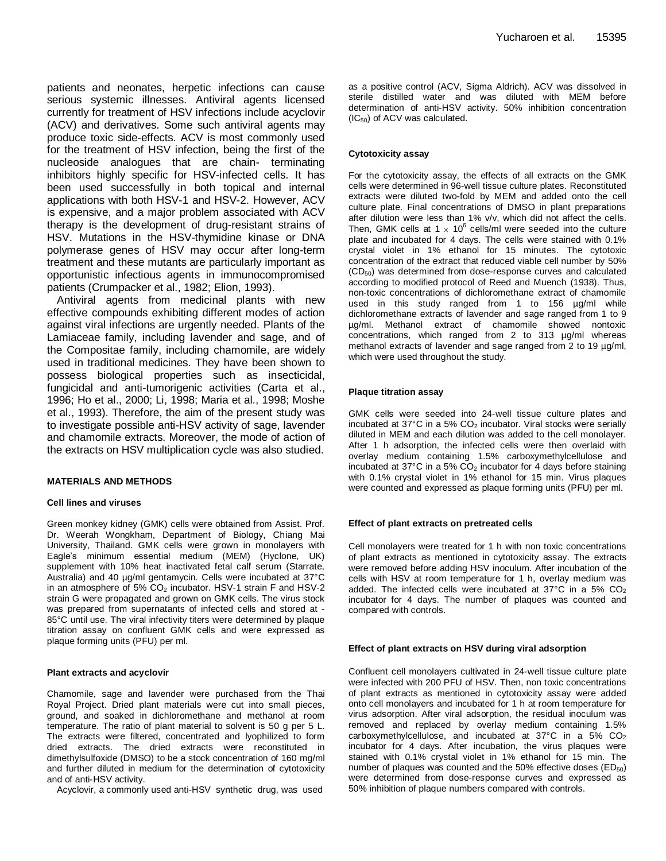patients and neonates, herpetic infections can cause serious systemic illnesses. Antiviral agents licensed currently for treatment of HSV infections include acyclovir (ACV) and derivatives. Some such antiviral agents may produce toxic side-effects. ACV is most commonly used for the treatment of HSV infection, being the first of the nucleoside analogues that are chain- terminating inhibitors highly specific for HSV-infected cells. It has been used successfully in both topical and internal applications with both HSV-1 and HSV-2. However, ACV is expensive, and a major problem associated with ACV therapy is the development of drug-resistant strains of HSV. Mutations in the HSV-thymidine kinase or DNA polymerase genes of HSV may occur after long-term treatment and these mutants are particularly important as opportunistic infectious agents in immunocompromised patients (Crumpacker et al., 1982; Elion, 1993).

Antiviral agents from medicinal plants with new effective compounds exhibiting different modes of action against viral infections are urgently needed. Plants of the Lamiaceae family, including lavender and sage, and of the Compositae family, including chamomile, are widely used in traditional medicines. They have been shown to possess biological properties such as insecticidal, fungicidal and anti-tumorigenic activities (Carta et al., 1996; Ho et al., 2000; Li, 1998; Maria et al., 1998; Moshe et al., 1993). Therefore, the aim of the present study was to investigate possible anti-HSV activity of sage, lavender and chamomile extracts. Moreover, the mode of action of the extracts on HSV multiplication cycle was also studied.

#### **MATERIALS AND METHODS**

#### **Cell lines and viruses**

Green monkey kidney (GMK) cells were obtained from Assist. Prof. Dr. Weerah Wongkham, Department of Biology, Chiang Mai University, Thailand. GMK cells were grown in monolayers with Eagle's minimum essential medium (MEM) (Hyclone, UK) supplement with 10% heat inactivated fetal calf serum (Starrate, Australia) and 40 µg/ml gentamycin. Cells were incubated at 37°C in an atmosphere of  $5\%$  CO<sub>2</sub> incubator. HSV-1 strain F and HSV-2 strain G were propagated and grown on GMK cells. The virus stock was prepared from supernatants of infected cells and stored at - 85°C until use. The viral infectivity titers were determined by plaque titration assay on confluent GMK cells and were expressed as plaque forming units (PFU) per ml.

### **Plant extracts and acyclovir**

Chamomile, sage and lavender were purchased from the Thai Royal Project. Dried plant materials were cut into small pieces, ground, and soaked in dichloromethane and methanol at room temperature. The ratio of plant material to solvent is 50 g per 5 L. The extracts were filtered, concentrated and lyophilized to form dried extracts. The dried extracts were reconstituted in dimethylsulfoxide (DMSO) to be a stock concentration of 160 mg/ml and further diluted in medium for the determination of cytotoxicity and of anti-HSV activity.

Acyclovir, a commonly used anti-HSV synthetic drug, was used

as a positive control (ACV, Sigma Aldrich). ACV was dissolved in sterile distilled water and was diluted with MEM before determination of anti-HSV activity. 50% inhibition concentration  $(IC_{50})$  of ACV was calculated.

#### **Cytotoxicity assay**

For the cytotoxicity assay, the effects of all extracts on the GMK cells were determined in 96-well tissue culture plates. Reconstituted extracts were diluted two-fold by MEM and added onto the cell culture plate. Final concentrations of DMSO in plant preparations after dilution were less than 1% v/v, which did not affect the cells. Then, GMK cells at 1  $\times$  10<sup>6</sup> cells/ml were seeded into the culture plate and incubated for 4 days. The cells were stained with 0.1% crystal violet in 1% ethanol for 15 minutes. The cytotoxic concentration of the extract that reduced viable cell number by 50%  $(CD_{50})$  was determined from dose-response curves and calculated according to modified protocol of Reed and Muench (1938). Thus, non-toxic concentrations of dichloromethane extract of chamomile used in this study ranged from 1 to 156 µg/ml while dichloromethane extracts of lavender and sage ranged from 1 to 9 µg/ml. Methanol extract of chamomile showed nontoxic concentrations, which ranged from 2 to 313 µg/ml whereas methanol extracts of lavender and sage ranged from 2 to 19  $\mu$ g/ml, which were used throughout the study.

#### **Plaque titration assay**

GMK cells were seeded into 24-well tissue culture plates and incubated at 37°C in a 5% CO<sub>2</sub> incubator. Viral stocks were serially diluted in MEM and each dilution was added to the cell monolayer. After 1 h adsorption, the infected cells were then overlaid with overlay medium containing 1.5% carboxymethylcellulose and incubated at  $37^{\circ}$ C in a 5%  $CO_{2}$  incubator for 4 days before staining with 0.1% crystal violet in 1% ethanol for 15 min. Virus plaques were counted and expressed as plaque forming units (PFU) per ml.

#### **Effect of plant extracts on pretreated cells**

Cell monolayers were treated for 1 h with non toxic concentrations of plant extracts as mentioned in cytotoxicity assay. The extracts were removed before adding HSV inoculum. After incubation of the cells with HSV at room temperature for 1 h, overlay medium was added. The infected cells were incubated at  $37^{\circ}$ C in a 5%  $CO_{2}$ incubator for 4 days. The number of plaques was counted and compared with controls.

#### **Effect of plant extracts on HSV during viral adsorption**

Confluent cell monolayers cultivated in 24-well tissue culture plate were infected with 200 PFU of HSV. Then, non toxic concentrations of plant extracts as mentioned in cytotoxicity assay were added onto cell monolayers and incubated for 1 h at room temperature for virus adsorption. After viral adsorption, the residual inoculum was removed and replaced by overlay medium containing 1.5% carboxymethylcellulose, and incubated at  $37^{\circ}$ C in a  $5\%$  CO<sub>2</sub> incubator for 4 days. After incubation, the virus plaques were stained with 0.1% crystal violet in 1% ethanol for 15 min. The number of plaques was counted and the 50% effective doses  $(ED_{50})$ were determined from dose-response curves and expressed as 50% inhibition of plaque numbers compared with controls.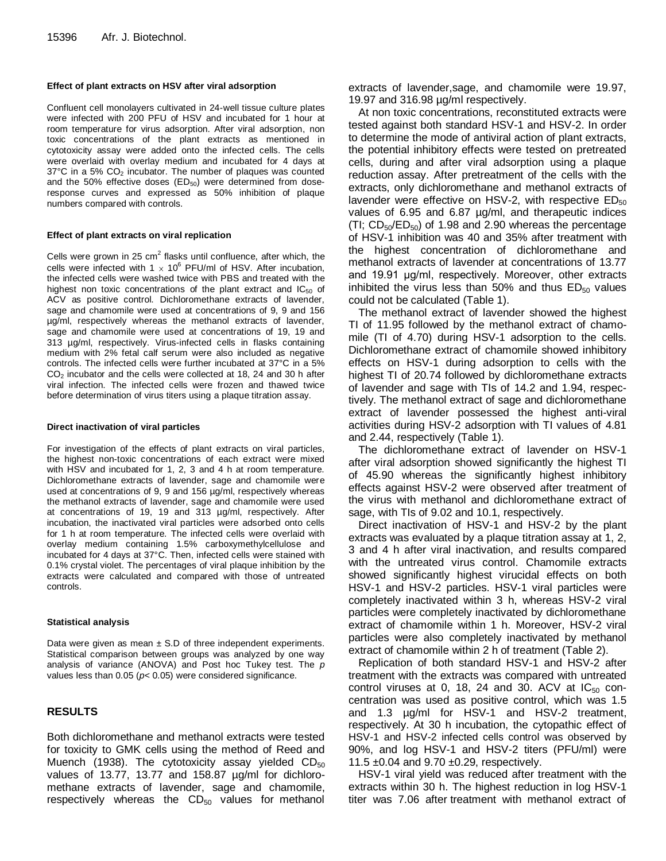#### **Effect of plant extracts on HSV after viral adsorption**

Confluent cell monolayers cultivated in 24-well tissue culture plates were infected with 200 PFU of HSV and incubated for 1 hour at room temperature for virus adsorption. After viral adsorption, non toxic concentrations of the plant extracts as mentioned in cytotoxicity assay were added onto the infected cells. The cells were overlaid with overlay medium and incubated for 4 days at  $37^{\circ}$ C in a 5%  $CO<sub>2</sub>$  incubator. The number of plaques was counted and the 50% effective doses  $(ED_{50})$  were determined from doseresponse curves and expressed as 50% inhibition of plaque numbers compared with controls.

#### **Effect of plant extracts on viral replication**

Cells were grown in 25 cm<sup>2</sup> flasks until confluence, after which, the cells were infected with 1  $\times$  10<sup>6</sup> PFU/ml of HSV. After incubation, the infected cells were washed twice with PBS and treated with the highest non toxic concentrations of the plant extract and  $IC_{50}$  of ACV as positive control. Dichloromethane extracts of lavender, sage and chamomile were used at concentrations of 9, 9 and 156 µg/ml, respectively whereas the methanol extracts of lavender, sage and chamomile were used at concentrations of 19, 19 and 313 µg/ml, respectively. Virus-infected cells in flasks containing medium with 2% fetal calf serum were also included as negative controls. The infected cells were further incubated at 37°C in a 5% CO<sup>2</sup> incubator and the cells were collected at 18, 24 and 30 h after viral infection. The infected cells were frozen and thawed twice before determination of virus titers using a plaque titration assay.

#### **Direct inactivation of viral particles**

For investigation of the effects of plant extracts on viral particles, the highest non-toxic concentrations of each extract were mixed with HSV and incubated for 1, 2, 3 and 4 h at room temperature. Dichloromethane extracts of lavender, sage and chamomile were used at concentrations of 9, 9 and 156 µg/ml, respectively whereas the methanol extracts of lavender, sage and chamomile were used at concentrations of 19, 19 and 313 µg/ml, respectively. After incubation, the inactivated viral particles were adsorbed onto cells for 1 h at room temperature. The infected cells were overlaid with overlay medium containing 1.5% carboxymethylcellulose and incubated for 4 days at 37°C. Then, infected cells were stained with 0.1% crystal violet. The percentages of viral plaque inhibition by the extracts were calculated and compared with those of untreated controls.

#### **Statistical analysis**

Data were given as mean  $\pm$  S.D of three independent experiments. Statistical comparison between groups was analyzed by one way analysis of variance (ANOVA) and Post hoc Tukey test. The *p* values less than 0.05 (*p*< 0.05) were considered significance.

## **RESULTS**

Both dichloromethane and methanol extracts were tested for toxicity to GMK cells using the method of Reed and Muench (1938). The cytotoxicity assay yielded  $CD_{50}$ values of 13.77, 13.77 and 158.87 µg/ml for dichloromethane extracts of lavender, sage and chamomile, respectively whereas the  $CD_{50}$  values for methanol extracts of lavender,sage, and chamomile were 19.97, 19.97 and 316.98 µg/ml respectively.

At non toxic concentrations, reconstituted extracts were tested against both standard HSV-1 and HSV-2. In order to determine the mode of antiviral action of plant extracts, the potential inhibitory effects were tested on pretreated cells, during and after viral adsorption using a plaque reduction assay. After pretreatment of the cells with the extracts, only dichloromethane and methanol extracts of lavender were effective on HSV-2, with respective  $ED_{50}$ values of 6.95 and 6.87 µg/ml, and therapeutic indices (TI;  $CD_{50}/ED_{50}$ ) of 1.98 and 2.90 whereas the percentage of HSV-1 inhibition was 40 and 35% after treatment with the highest concentration of dichloromethane and methanol extracts of lavender at concentrations of 13.77 and 19.91 μg/ml, respectively. Moreover, other extracts inhibited the virus less than 50% and thus  $ED_{50}$  values could not be calculated (Table 1).

The methanol extract of lavender showed the highest TI of 11.95 followed by the methanol extract of chamomile (TI of 4.70) during HSV-1 adsorption to the cells. Dichloromethane extract of chamomile showed inhibitory effects on HSV-1 during adsorption to cells with the highest TI of 20.74 followed by dichloromethane extracts of lavender and sage with TIs of 14.2 and 1.94, respectively. The methanol extract of sage and dichloromethane extract of lavender possessed the highest anti-viral activities during HSV-2 adsorption with TI values of 4.81 and 2.44, respectively (Table 1).

The dichloromethane extract of lavender on HSV-1 after viral adsorption showed significantly the highest TI of 45.90 whereas the significantly highest inhibitory effects against HSV-2 were observed after treatment of the virus with methanol and dichloromethane extract of sage, with TIs of 9.02 and 10.1, respectively.

Direct inactivation of HSV-1 and HSV-2 by the plant extracts was evaluated by a plaque titration assay at 1, 2, 3 and 4 h after viral inactivation, and results compared with the untreated virus control. Chamomile extracts showed significantly highest virucidal effects on both HSV-1 and HSV-2 particles. HSV-1 viral particles were completely inactivated within 3 h, whereas HSV-2 viral particles were completely inactivated by dichloromethane extract of chamomile within 1 h. Moreover, HSV-2 viral particles were also completely inactivated by methanol extract of chamomile within 2 h of treatment (Table 2).

Replication of both standard HSV-1 and HSV-2 after treatment with the extracts was compared with untreated control viruses at 0, 18, 24 and 30. ACV at  $IC_{50}$  concentration was used as positive control, which was 1.5 and 1.3 µg/ml for HSV-1 and HSV-2 treatment, respectively. At 30 h incubation, the cytopathic effect of HSV-1 and HSV-2 infected cells control was observed by 90%, and log HSV-1 and HSV-2 titers (PFU/ml) were 11.5 ±0.04 and 9.70 ±0.29, respectively.

HSV-1 viral yield was reduced after treatment with the extracts within 30 h. The highest reduction in log HSV-1 titer was 7.06 after treatment with methanol extract of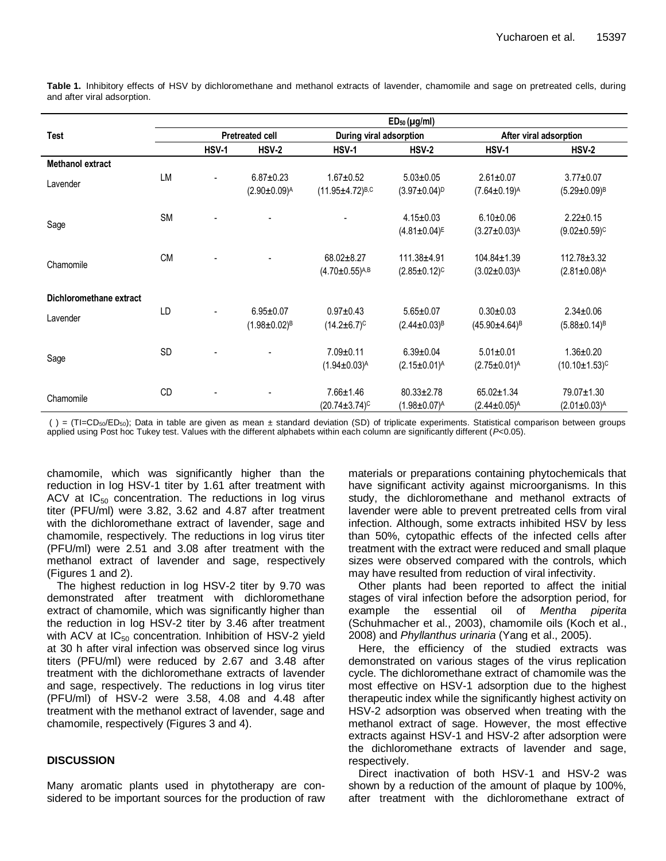|                         | $ED_{50}$ (µg/ml) |                        |                       |                          |                       |                                 |                        |  |
|-------------------------|-------------------|------------------------|-----------------------|--------------------------|-----------------------|---------------------------------|------------------------|--|
| <b>Test</b>             |                   | <b>Pretreated cell</b> |                       | During viral adsorption  |                       | After viral adsorption          |                        |  |
|                         |                   | <b>HSV-1</b>           | $HSV-2$               | HSV-1                    | <b>HSV-2</b>          | <b>HSV-1</b>                    | $HSV-2$                |  |
| <b>Methanol extract</b> |                   |                        |                       |                          |                       |                                 |                        |  |
| Lavender                | <b>LM</b>         | $\blacksquare$         | $6.87 \pm 0.23$       | $1.67 + 0.52$            | $5.03 \pm 0.05$       | $2.61 \pm 0.07$                 | $3.77 \pm 0.07$        |  |
|                         |                   |                        | $(2.90 \pm 0.09)^{A}$ | $(11.95 \pm 4.72)^{B,C}$ | $(3.97 \pm 0.04)^{D}$ | $(7.64 \pm 0.19)$ <sup>A</sup>  | $(5.29 \pm 0.09)^B$    |  |
| Sage                    | <b>SM</b>         |                        |                       |                          | $4.15 \pm 0.03$       | $6.10 \pm 0.06$                 | $2.22 \pm 0.15$        |  |
|                         |                   |                        |                       |                          | $(4.81 \pm 0.04)^{E}$ | $(3.27 \pm 0.03)^{A}$           | $(9.02 \pm 0.59)^c$    |  |
| Chamomile               | <b>CM</b>         |                        |                       | 68.02±8.27               | $111.38 + 4.91$       | $104.84 \pm 1.39$               | $112.78 \pm 3.32$      |  |
|                         |                   |                        |                       | $(4.70 \pm 0.55)^{A,B}$  | $(2.85 \pm 0.12)^c$   | $(3.02 \pm 0.03)^{A}$           | $(2.81 \pm 0.08)^{A}$  |  |
| Dichloromethane extract |                   |                        |                       |                          |                       |                                 |                        |  |
| Lavender                | LD                |                        | $6.95 \pm 0.07$       | $0.97 + 0.43$            | $5.65 \pm 0.07$       | $0.30 \pm 0.03$                 | $2.34 \pm 0.06$        |  |
|                         |                   |                        | $(1.98 \pm 0.02)^B$   | $(14.2 \pm 6.7)^c$       | $(2.44 \pm 0.03)^8$   | $(45.90 \pm 4.64)$ <sup>B</sup> | $(5.88 \pm 0.14)^B$    |  |
| Sage                    | <b>SD</b>         |                        |                       | $7.09 \pm 0.11$          | $6.39 \pm 0.04$       | $5.01 \pm 0.01$                 | $1.36 \pm 0.20$        |  |
|                         |                   |                        |                       | $(1.94 \pm 0.03)^{A}$    | $(2.15 \pm 0.01)^{A}$ | $(2.75 \pm 0.01)^{A}$           | $(10.10 \pm 1.53)^{c}$ |  |
| Chamomile               | CD                |                        |                       | $7.66 \pm 1.46$          | $80.33 \pm 2.78$      | $65.02 \pm 1.34$                | 79.07±1.30             |  |
|                         |                   |                        |                       | $(20.74 \pm 3.74)^c$     | $(1.98 \pm 0.07)^{A}$ | $(2.44 \pm 0.05)^{A}$           | $(2.01 \pm 0.03)^{A}$  |  |

**Table 1.** Inhibitory effects of HSV by dichloromethane and methanol extracts of lavender, chamomile and sage on pretreated cells, during and after viral adsorption.

( ) = (TI=CD<sub>50</sub>/ED<sub>50</sub>); Data in table are given as mean ± standard deviation (SD) of triplicate experiments. Statistical comparison between groups applied using Post hoc Tukey test. Values with the different alphabets within each column are significantly different (*P*<0.05).

chamomile, which was significantly higher than the reduction in log HSV-1 titer by 1.61 after treatment with ACV at  $IC_{50}$  concentration. The reductions in log virus titer (PFU/ml) were 3.82, 3.62 and 4.87 after treatment with the dichloromethane extract of lavender, sage and chamomile, respectively. The reductions in log virus titer (PFU/ml) were 2.51 and 3.08 after treatment with the methanol extract of lavender and sage, respectively (Figures 1 and 2).

The highest reduction in log HSV-2 titer by 9.70 was demonstrated after treatment with dichloromethane extract of chamomile, which was significantly higher than the reduction in log HSV-2 titer by 3.46 after treatment with ACV at  $IC_{50}$  concentration. Inhibition of HSV-2 yield at 30 h after viral infection was observed since log virus titers (PFU/ml) were reduced by 2.67 and 3.48 after treatment with the dichloromethane extracts of lavender and sage, respectively. The reductions in log virus titer (PFU/ml) of HSV-2 were 3.58, 4.08 and 4.48 after treatment with the methanol extract of lavender, sage and chamomile, respectively (Figures 3 and 4).

## **DISCUSSION**

Many aromatic plants used in phytotherapy are considered to be important sources for the production of raw materials or preparations containing phytochemicals that have significant activity against microorganisms. In this study, the dichloromethane and methanol extracts of lavender were able to prevent pretreated cells from viral infection. Although, some extracts inhibited HSV by less than 50%, cytopathic effects of the infected cells after treatment with the extract were reduced and small plaque sizes were observed compared with the controls, which may have resulted from reduction of viral infectivity.

Other plants had been reported to affect the initial stages of viral infection before the adsorption period, for example the essential oil of *Mentha piperita* (Schuhmacher et al., 2003), chamomile oils (Koch et al., 2008) and *Phyllanthus urinaria* (Yang et al., 2005).

Here, the efficiency of the studied extracts was demonstrated on various stages of the virus replication cycle. The dichloromethane extract of chamomile was the most effective on HSV-1 adsorption due to the highest therapeutic index while the significantly highest activity on HSV-2 adsorption was observed when treating with the methanol extract of sage. However, the most effective extracts against HSV-1 and HSV-2 after adsorption were the dichloromethane extracts of lavender and sage, respectively.

Direct inactivation of both HSV-1 and HSV-2 was shown by a reduction of the amount of plaque by 100%, after treatment with the dichloromethane extract of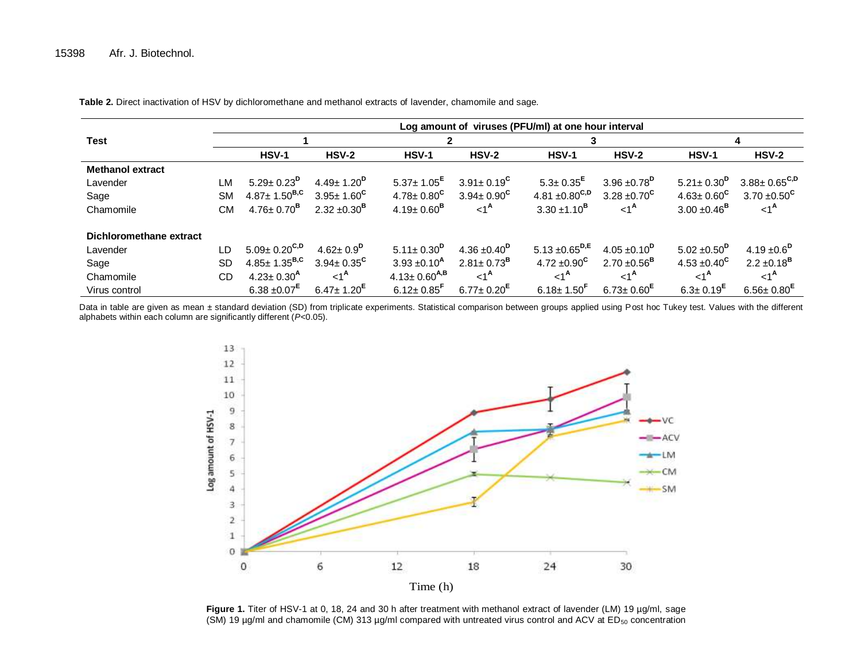|                         | Log amount of viruses (PFU/ml) at one hour interval |                              |                              |                              |                              |                                |                              |                             |                              |  |  |
|-------------------------|-----------------------------------------------------|------------------------------|------------------------------|------------------------------|------------------------------|--------------------------------|------------------------------|-----------------------------|------------------------------|--|--|
| <b>Test</b>             |                                                     |                              |                              |                              |                              | 3                              |                              | 4                           |                              |  |  |
|                         |                                                     | $HSV-1$                      | <b>HSV-2</b>                 | <b>HSV-1</b>                 | <b>HSV-2</b>                 | $HSV-1$                        | <b>HSV-2</b>                 | <b>HSV-1</b>                | $HSV-2$                      |  |  |
| <b>Methanol extract</b> |                                                     |                              |                              |                              |                              |                                |                              |                             |                              |  |  |
| Lavender                | LM                                                  | $5.29 \pm 0.23^{\text{D}}$   | $4.49 \pm 1.20^{\circ}$      | $5.37 \pm 1.05$ <sup>E</sup> | $3.91 \pm 0.19^{\circ}$      | $5.3 \pm 0.35$ <sup>E</sup>    | $3.96 \pm 0.78$ <sup>D</sup> | $5.21 \pm 0.30^{D}$         | $3.88 \pm 0.65^{\text{C,D}}$ |  |  |
| Sage                    | <b>SM</b>                                           | $4.87 \pm 1.50^{B,C}$        | $3.95 \pm 1.60^{\circ}$      | $4.78 \pm 0.80^{\circ}$      | $3.94 \pm 0.90^{\circ}$      | 4.81 $\pm 0.80^{\mathsf{C,D}}$ | 3.28 $\pm 0.70^{\circ}$      | $4.63 \pm 0.60^{\circ}$     | $3.70 \pm 0.50^{\circ}$      |  |  |
| Chamomile               | СM                                                  | $4.76 \pm 0.70^{\text{B}}$   | $2.32 \pm 0.30^{\text{B}}$   | $4.19 \pm 0.60^{\text{B}}$   | $1A$                         | $3.30 \pm 1.10^{\text{B}}$     | $<1^{\mathsf{A}}$            | $3.00 \pm 0.46^{\text{B}}$  | $<1^{\mathsf{A}}$            |  |  |
| Dichloromethane extract |                                                     |                              |                              |                              |                              |                                |                              |                             |                              |  |  |
| Lavender                | LD                                                  | $5.09 \pm 0.20^{\text{C,D}}$ | $4.62 \pm 0.9^{\text{D}}$    | $5.11 \pm 0.30^{D}$          | 4.36 $\pm$ 0.40 <sup>p</sup> | 5.13 $\pm$ 0.65 <sup>D,E</sup> | $4.05 \pm 0.10^{\text{D}}$   | $5.02 \pm 0.50^{\text{D}}$  | 4.19 $\pm 0.6^{\circ}$       |  |  |
| Sage                    | <b>SD</b>                                           | $4.85 \pm 1.35^{B,C}$        | $3.94 \pm 0.35^{\circ}$      | $3.93 \pm 0.10^{\text{A}}$   | $2.81 \pm 0.73$ <sup>B</sup> | 4.72 $\pm 0.90^{\circ}$        | $2.70 \pm 0.56^{\text{B}}$   | $4.53 \pm 0.40^{\circ}$     | $2.2 \pm 0.18^{\text{B}}$    |  |  |
| Chamomile               | CD                                                  | $4.23 \pm 0.30^{A}$          | $\leq 1^{\mathsf{A}}$        | $4.13 \pm 0.60^{A,B}$        | $1A$                         | $1A$                           | $<1^{\mathsf{A}}$            | $<1^{\mathsf{A}}$           | $1A$                         |  |  |
| Virus control           |                                                     | $6.38 \pm 0.07$ <sup>E</sup> | $6.47 \pm 1.20$ <sup>E</sup> | $6.12 \pm 0.85$ <sup>r</sup> | $6.77 \pm 0.20$ <sup>E</sup> | $6.18 \pm 1.50$ <sup>r</sup>   | $6.73 \pm 0.60$ <sup>E</sup> | $6.3 \pm 0.19$ <sup>E</sup> | $6.56 \pm 0.80$ <sup>E</sup> |  |  |

**Table 2.** Direct inactivation of HSV by dichloromethane and methanol extracts of lavender, chamomile and sage.

Data in table are given as mean ± standard deviation (SD) from triplicate experiments. Statistical comparison between groups applied using Post hoc Tukey test. Values with the different alphabets within each column are significantly different (*P*<0.05).



Figure 1. Titer of HSV-1 at 0, 18, 24 and 30 h after treatment with methanol extract of lavender (LM) 19 µg/ml, sage (SM) 19 µg/ml and chamomile (CM) 313 µg/ml compared with untreated virus control and ACV at ED<sub>50</sub> concentration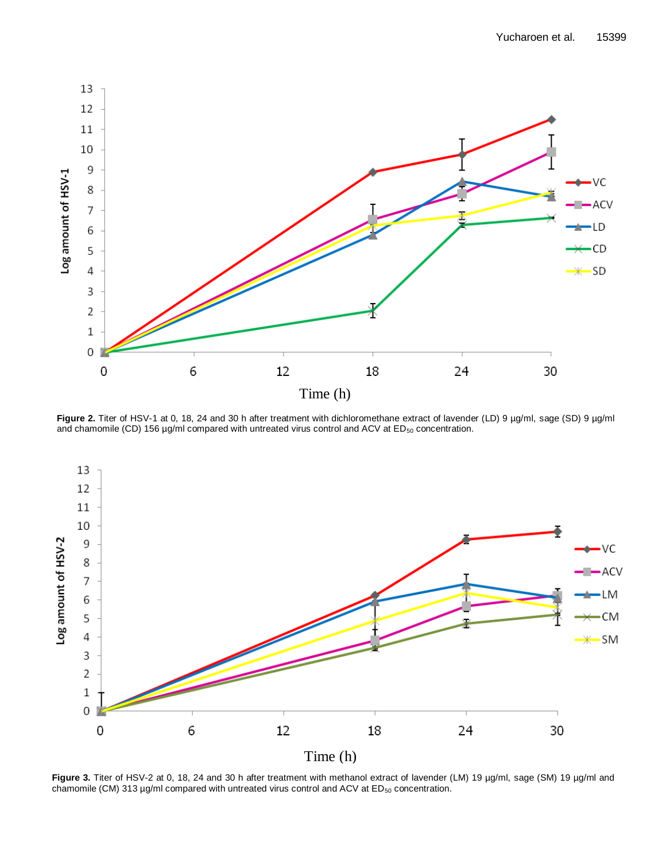

Figure 2. Titer of HSV-1 at 0, 18, 24 and 30 h after treatment with dichloromethane extract of lavender (LD) 9 µg/ml, sage (SD) 9 µg/ml and chamomile (CD) 156 µg/ml compared with untreated virus control and ACV at ED<sub>50</sub> concentration.



Figure 3. Titer of HSV-2 at 0, 18, 24 and 30 h after treatment with methanol extract of lavender (LM) 19 µg/ml, sage (SM) 19 µg/ml and chamomile (CM) 313  $\mu$ g/ml compared with untreated virus control and ACV at ED<sub>50</sub> concentration.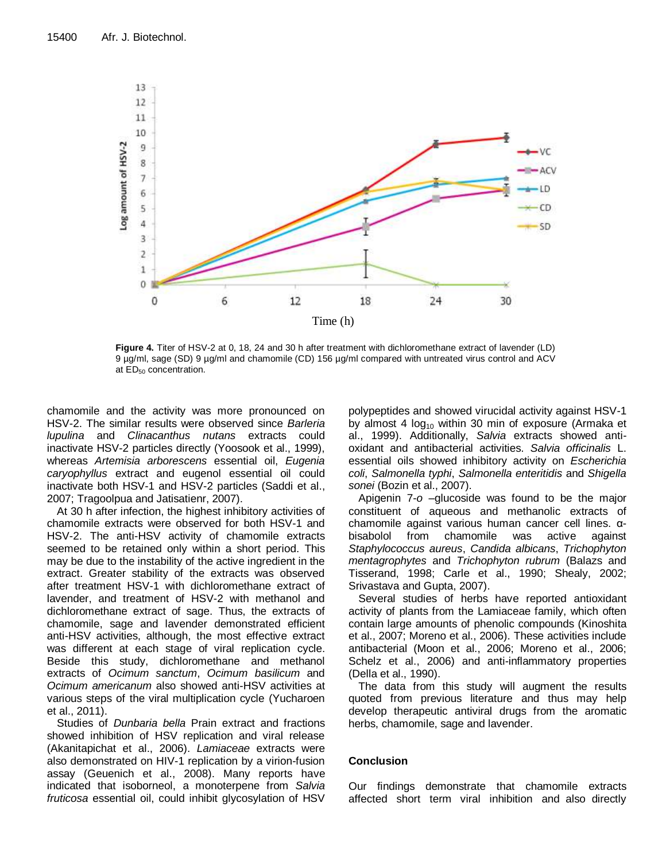

**Figure 4.** Titer of HSV-2 at 0, 18, 24 and 30 h after treatment with dichloromethane extract of lavender (LD) 9 µg/ml, sage (SD) 9 µg/ml and chamomile (CD) 156 µg/ml compared with untreated virus control and ACV at ED<sub>50</sub> concentration.

chamomile and the activity was more pronounced on HSV-2. The similar results were observed since *Barleria lupulina* and *Clinacanthus nutans* extracts could inactivate HSV-2 particles directly (Yoosook et al., 1999), whereas *Artemisia arborescens* essential oil, *Eugenia caryophyllus* extract and eugenol essential oil could inactivate both HSV-1 and HSV-2 particles (Saddi et al., 2007; Tragoolpua and Jatisatienr, 2007).

At 30 h after infection, the highest inhibitory activities of chamomile extracts were observed for both HSV-1 and HSV-2. The anti-HSV activity of chamomile extracts seemed to be retained only within a short period. This may be due to the instability of the active ingredient in the extract. Greater stability of the extracts was observed after treatment HSV-1 with dichloromethane extract of lavender, and treatment of HSV-2 with methanol and dichloromethane extract of sage. Thus, the extracts of chamomile, sage and lavender demonstrated efficient anti-HSV activities, although, the most effective extract was different at each stage of viral replication cycle. Beside this study, dichloromethane and methanol extracts of *Ocimum sanctum*, *Ocimum basilicum* and *Ocimum americanum* also showed anti-HSV activities at various steps of the viral multiplication cycle (Yucharoen et al., 2011).

Studies of *Dunbaria bella* Prain extract and fractions showed inhibition of HSV replication and viral release (Akanitapichat et al., 2006). *Lamiaceae* extracts were also demonstrated on HIV-1 replication by a virion-fusion assay (Geuenich et al., 2008). Many reports have indicated that isoborneol, a monoterpene from *Salvia fruticosa* essential oil, could inhibit glycosylation of HSV polypeptides and showed virucidal activity against HSV-1 by almost 4  $log_{10}$  within 30 min of exposure (Armaka et al., 1999). Additionally, *Salvia* extracts showed antioxidant and antibacterial activities. *Salvia officinalis* L. essential oils showed inhibitory activity on *Escherichia coli*, *Salmonella typhi*, *Salmonella enteritidis* and *Shigella sonei* (Bozin et al., 2007).

Apigenin 7-*o* –glucoside was found to be the major constituent of aqueous and methanolic extracts of chamomile against various human cancer cell lines. αbisabolol from chamomile was active against *Staphylococcus aureus*, *Candida albicans*, *Trichophyton mentagrophytes* and *Trichophyton rubrum* (Balazs and Tisserand, 1998; Carle et al., 1990; Shealy, 2002; Srivastava and Gupta, 2007).

Several studies of herbs have reported antioxidant activity of plants from the Lamiaceae family, which often contain large amounts of phenolic compounds (Kinoshita et al., 2007; Moreno et al., 2006). These activities include antibacterial (Moon et al., 2006; Moreno et al., 2006; Schelz et al., 2006) and anti-inflammatory properties (Della et al., 1990).

The data from this study will augment the results quoted from previous literature and thus may help develop therapeutic antiviral drugs from the aromatic herbs, chamomile, sage and lavender.

## **Conclusion**

Our findings demonstrate that chamomile extracts affected short term viral inhibition and also directly